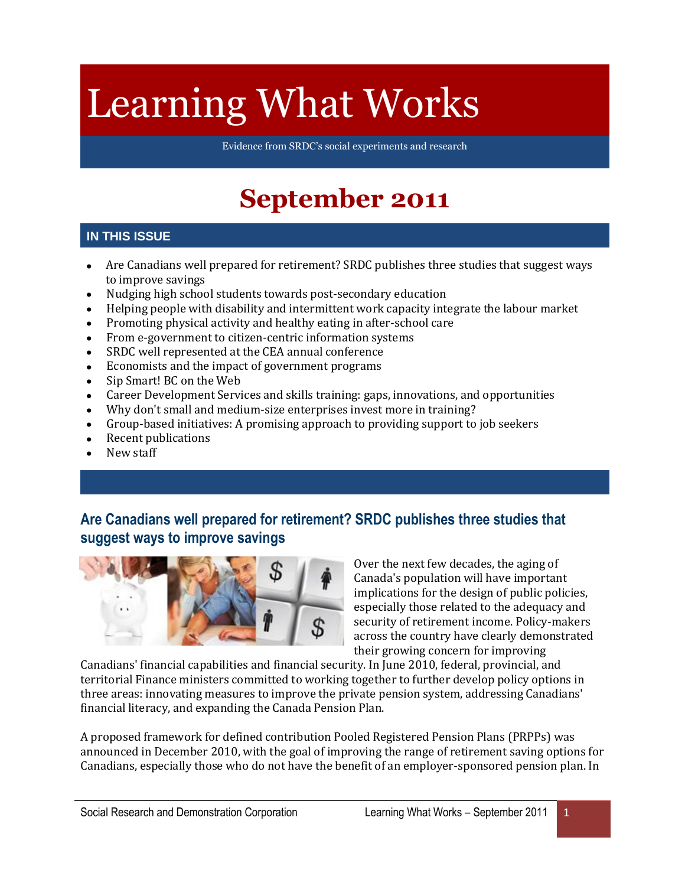# Learning What Works

Evidence from SRDC's social experiments and research

# **September 2011**

#### **IN THIS ISSUE**

- Are Canadians well prepared for retirement? SRDC publishes three studies that suggest ways  $\bullet$ to improve savings
- Nudging high school students towards post-secondary education  $\bullet$
- Helping people with disability and intermittent work capacity integrate the labour market  $\bullet$
- Promoting physical activity and healthy eating in after-school care  $\bullet$
- $\bullet$ From e-government to citizen-centric information systems
- SRDC well represented at the CEA annual conference  $\bullet$
- Economists and the impact of government programs  $\bullet$
- Sip Smart! BC on the Web  $\bullet$
- Career Development Services and skills training: gaps, innovations, and opportunities  $\bullet$
- Why don't small and medium-size enterprises invest more in training?  $\bullet$
- Group-based initiatives: A promising approach to providing support to job seekers  $\bullet$
- Recent publications  $\bullet$
- New staff

### **Are Canadians well prepared for retirement? SRDC publishes three studies that suggest ways to improve savings**



Over the next few decades, the aging of Canada's population will have important implications for the design of public policies, especially those related to the adequacy and security of retirement income. Policy-makers across the country have clearly demonstrated their growing concern for improving

Canadians' financial capabilities and financial security. In June 2010, federal, provincial, and territorial Finance ministers committed to working together to further develop policy options in three areas: innovating measures to improve the private pension system, addressing Canadians' financial literacy, and expanding the Canada Pension Plan.

A proposed framework for defined contribution Pooled Registered Pension Plans (PRPPs) was announced in December 2010, with the goal of improving the range of retirement saving options for Canadians, especially those who do not have the benefit of an employer-sponsored pension plan. In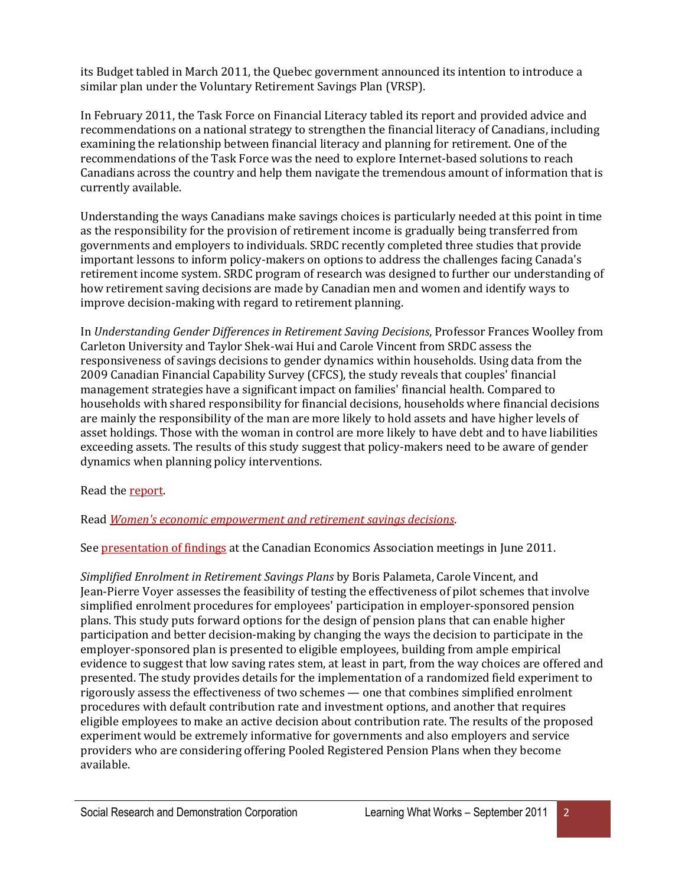its Budget tabled in March 2011, the Quebec government announced its intention to introduce a similar plan under the Voluntary Retirement Savings Plan (VRSP).

In February 2011, the Task Force on Financial Literacy tabled its report and provided advice and recommendations on a national strategy to strengthen the financial literacy of Canadians, including examining the relationship between financial literacy and planning for retirement. One of the recommendations of the Task Force was the need to explore Internet-based solutions to reach Canadians across the country and help them navigate the tremendous amount of information that is currently available.

Understanding the ways Canadians make savings choices is particularly needed at this point in time as the responsibility for the provision of retirement income is gradually being transferred from governments and employers to individuals. SRDC recently completed three studies that provide important lessons to inform policy-makers on options to address the challenges facing Canada's retirement income system. SRDC program of research was designed to further our understanding of how retirement saving decisions are made by Canadian men and women and identify ways to improve decision-making with regard to retirement planning.

In *Understanding Gender Differences in Retirement Saving Decisions*, Professor Frances Woolley from Carleton University and Taylor Shek-wai Hui and Carole Vincent from SRDC assess the responsiveness of savings decisions to gender dynamics within households. Using data from the 2009 Canadian Financial Capability Survey (CFCS), the study reveals that couples' financial management strategies have a significant impact on families' financial health. Compared to households with shared responsibility for financial decisions, households where financial decisions are mainly the responsibility of the man are more likely to hold assets and have higher levels of asset holdings. Those with the woman in control are more likely to have debt and to have liabilities exceeding assets. The results of this study suggest that policy-makers need to be aware of gender dynamics when planning policy interventions.

Read th[e report.](http://www.srdc.org/en_publication_details.asp?id=255)

Read *[Women's economic empowerment and retirement savings decisions](http://www.srdc.org/uploads/women_empowerment_en.pdf)*.

Se[e presentation of findings](http://www.srdc.org/uploads/cea_deck_vincent_en.pdf) at the Canadian Economics Association meetings in June 2011.

*Simplified Enrolment in Retirement Savings Plans* by Boris Palameta, Carole Vincent, and Jean-Pierre Voyer assesses the feasibility of testing the effectiveness of pilot schemes that involve simplified enrolment procedures for employees' participation in employer-sponsored pension plans. This study puts forward options for the design of pension plans that can enable higher participation and better decision-making by changing the ways the decision to participate in the employer-sponsored plan is presented to eligible employees, building from ample empirical evidence to suggest that low saving rates stem, at least in part, from the way choices are offered and presented. The study provides details for the implementation of a randomized field experiment to rigorously assess the effectiveness of two schemes — one that combines simplified enrolment procedures with default contribution rate and investment options, and another that requires eligible employees to make an active decision about contribution rate. The results of the proposed experiment would be extremely informative for governments and also employers and service providers who are considering offering Pooled Registered Pension Plans when they become available.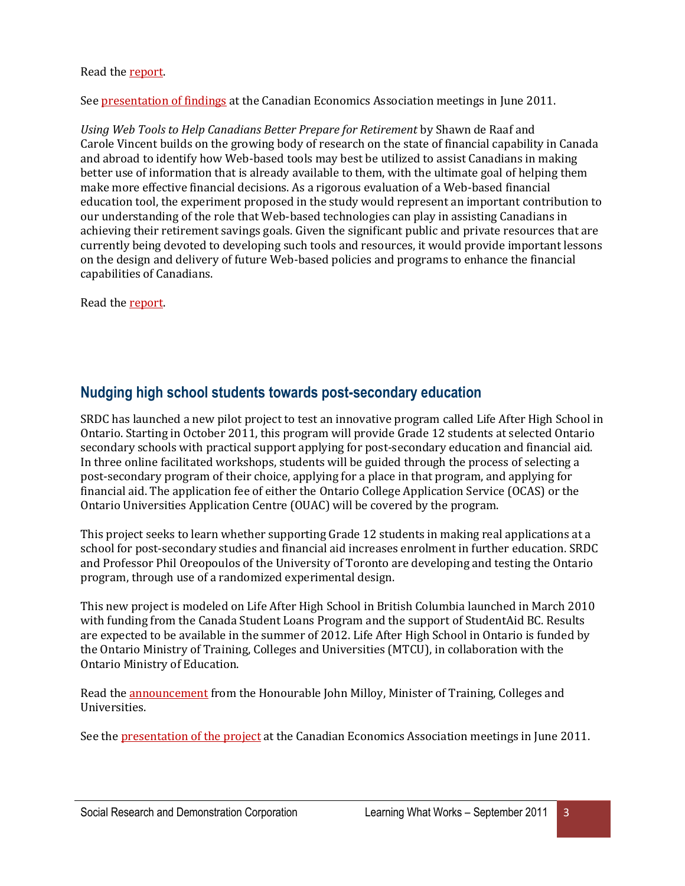#### Read th[e report.](http://www.srdc.org/en_publication_details.asp?id=257)

Se[e presentation of findings](http://www.srdc.org/uploads/cea_deck_palameta_en.pdf) at the Canadian Economics Association meetings in June 2011.

*Using Web Tools to Help Canadians Better Prepare for Retirement* by Shawn de Raaf and Carole Vincent builds on the growing body of research on the state of financial capability in Canada and abroad to identify how Web-based tools may best be utilized to assist Canadians in making better use of information that is already available to them, with the ultimate goal of helping them make more effective financial decisions. As a rigorous evaluation of a Web-based financial education tool, the experiment proposed in the study would represent an important contribution to our understanding of the role that Web-based technologies can play in assisting Canadians in achieving their retirement savings goals. Given the significant public and private resources that are currently being devoted to developing such tools and resources, it would provide important lessons on the design and delivery of future Web-based policies and programs to enhance the financial capabilities of Canadians.

Read th[e report.](http://www.srdc.org/en_publication_details.asp?id=259)

#### **Nudging high school students towards post-secondary education**

SRDC has launched a new pilot project to test an innovative program called Life After High School in Ontario. Starting in October 2011, this program will provide Grade 12 students at selected Ontario secondary schools with practical support applying for post-secondary education and financial aid. In three online facilitated workshops, students will be guided through the process of selecting a post-secondary program of their choice, applying for a place in that program, and applying for financial aid. The application fee of either the Ontario College Application Service (OCAS) or the Ontario Universities Application Centre (OUAC) will be covered by the program.

This project seeks to learn whether supporting Grade 12 students in making real applications at a school for post-secondary studies and financial aid increases enrolment in further education. SRDC and Professor Phil Oreopoulos of the University of Toronto are developing and testing the Ontario program, through use of a randomized experimental design.

This new project is modeled on Life After High School in British Columbia launched in March 2010 with funding from the Canada Student Loans Program and the support of StudentAid BC. Results are expected to be available in the summer of 2012. Life After High School in Ontario is funded by the Ontario Ministry of Training, Colleges and Universities (MTCU), in collaboration with the Ontario Ministry of Education.

Read th[e announcement](http://news.ontario.ca/tcu/en/2011/06/helping-students-prepare-for-life-after-high-school.html) from the Honourable John Milloy, Minister of Training, Colleges and Universities.

See the [presentation of the project](http://www.srdc.org/uploads/cea_deck_ford_en.pdf) at the Canadian Economics Association meetings in June 2011.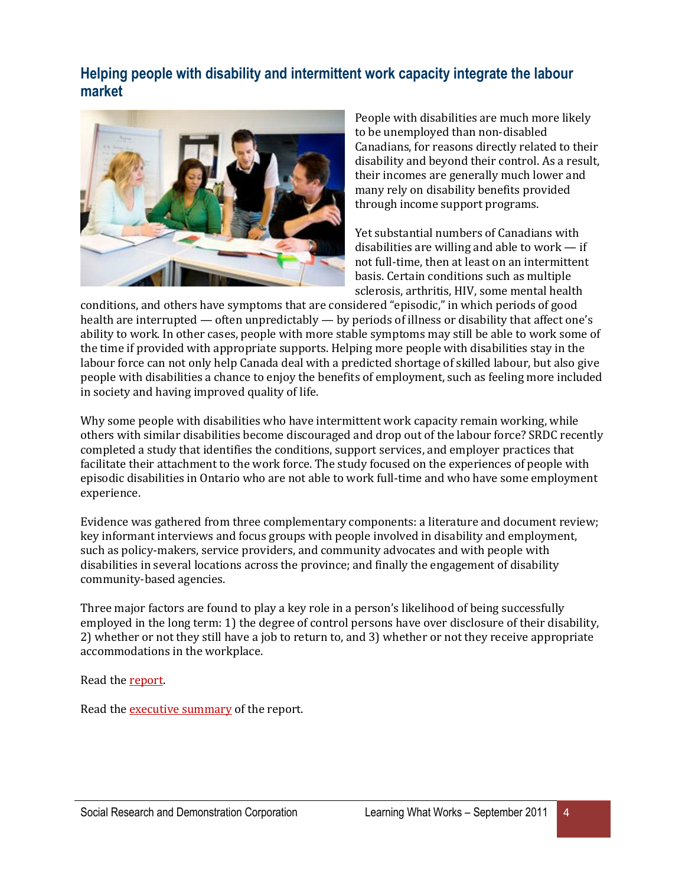#### **Helping people with disability and intermittent work capacity integrate the labour market**



People with disabilities are much more likely to be unemployed than non-disabled Canadians, for reasons directly related to their disability and beyond their control. As a result, their incomes are generally much lower and many rely on disability benefits provided through income support programs.

Yet substantial numbers of Canadians with disabilities are willing and able to work — if not full-time, then at least on an intermittent basis. Certain conditions such as multiple sclerosis, arthritis, HIV, some mental health

conditions, and others have symptoms that are considered "episodic," in which periods of good health are interrupted — often unpredictably — by periods of illness or disability that affect one's ability to work. In other cases, people with more stable symptoms may still be able to work some of the time if provided with appropriate supports. Helping more people with disabilities stay in the labour force can not only help Canada deal with a predicted shortage of skilled labour, but also give people with disabilities a chance to enjoy the benefits of employment, such as feeling more included in society and having improved quality of life.

Why some people with disabilities who have intermittent work capacity remain working, while others with similar disabilities become discouraged and drop out of the labour force? SRDC recently completed a study that identifies the conditions, support services, and employer practices that facilitate their attachment to the work force. The study focused on the experiences of people with episodic disabilities in Ontario who are not able to work full-time and who have some employment experience.

Evidence was gathered from three complementary components: a literature and document review; key informant interviews and focus groups with people involved in disability and employment, such as policy-makers, service providers, and community advocates and with people with disabilities in several locations across the province; and finally the engagement of disability community-based agencies.

Three major factors are found to play a key role in a person's likelihood of being successfully employed in the long term: 1) the degree of control persons have over disclosure of their disability, 2) whether or not they still have a job to return to, and 3) whether or not they receive appropriate accommodations in the workplace.

Read th[e report.](http://www.srdc.org/uploads/IntermittentWork_report_EN.pdf)

Read th[e executive summary](http://www.srdc.org/uploads/IntermittentWork_execsum_EN.pdf) of the report.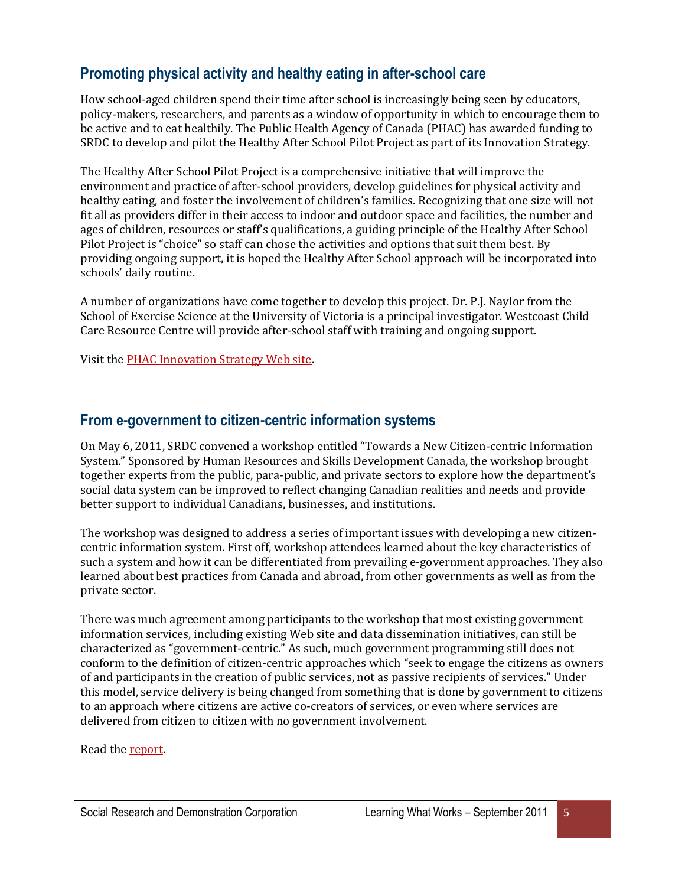### **Promoting physical activity and healthy eating in after-school care**

How school-aged children spend their time after school is increasingly being seen by educators, policy-makers, researchers, and parents as a window of opportunity in which to encourage them to be active and to eat healthily. The Public Health Agency of Canada (PHAC) has awarded funding to SRDC to develop and pilot the Healthy After School Pilot Project as part of its Innovation Strategy.

The Healthy After School Pilot Project is a comprehensive initiative that will improve the environment and practice of after-school providers, develop guidelines for physical activity and healthy eating, and foster the involvement of children's families. Recognizing that one size will not fit all as providers differ in their access to indoor and outdoor space and facilities, the number and ages of children, resources or staff's qualifications, a guiding principle of the Healthy After School Pilot Project is "choice" so staff can chose the activities and options that suit them best. By providing ongoing support, it is hoped the Healthy After School approach will be incorporated into schools' daily routine.

A number of organizations have come together to develop this project. Dr. P.J. Naylor from the School of Exercise Science at the University of Victoria is a principal investigator. Westcoast Child Care Resource Centre will provide after-school staff with training and ongoing support.

Visit the [PHAC Innovation Strategy Web site.](http://www.phac-aspc.gc.ca/ph-sp/fund-fonds/index-eng.php)

#### **From e-government to citizen-centric information systems**

On May 6, 2011, SRDC convened a workshop entitled "Towards a New Citizen-centric Information System." Sponsored by Human Resources and Skills Development Canada, the workshop brought together experts from the public, para-public, and private sectors to explore how the department's social data system can be improved to reflect changing Canadian realities and needs and provide better support to individual Canadians, businesses, and institutions.

The workshop was designed to address a series of important issues with developing a new citizencentric information system. First off, workshop attendees learned about the key characteristics of such a system and how it can be differentiated from prevailing e-government approaches. They also learned about best practices from Canada and abroad, from other governments as well as from the private sector.

There was much agreement among participants to the workshop that most existing government information services, including existing Web site and data dissemination initiatives, can still be characterized as "government-centric." As such, much government programming still does not conform to the definition of citizen-centric approaches which "seek to engage the citizens as owners of and participants in the creation of public services, not as passive recipients of services." Under this model, service delivery is being changed from something that is done by government to citizens to an approach where citizens are active co-creators of services, or even where services are delivered from citizen to citizen with no government involvement.

Read th[e report.](http://www.srdc.org/uploads/citizen-centric_en.pdf)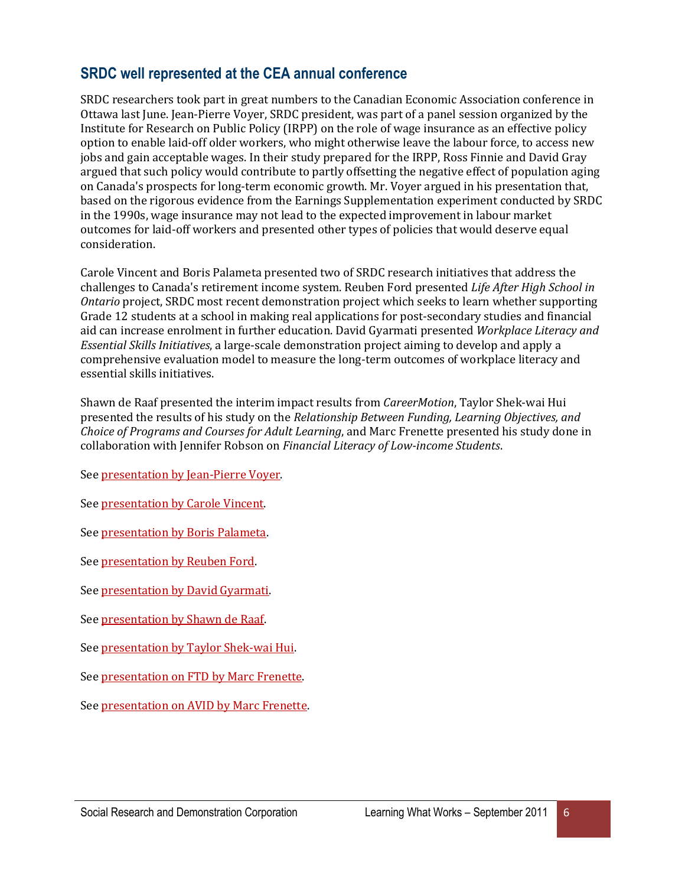### **SRDC well represented at the CEA annual conference**

SRDC researchers took part in great numbers to the Canadian Economic Association conference in Ottawa last June. Jean-Pierre Voyer, SRDC president, was part of a panel session organized by the Institute for Research on Public Policy (IRPP) on the role of wage insurance as an effective policy option to enable laid-off older workers, who might otherwise leave the labour force, to access new jobs and gain acceptable wages. In their study prepared for the IRPP, Ross Finnie and David Gray argued that such policy would contribute to partly offsetting the negative effect of population aging on Canada's prospects for long-term economic growth. Mr. Voyer argued in his presentation that, based on the rigorous evidence from the Earnings Supplementation experiment conducted by SRDC in the 1990s, wage insurance may not lead to the expected improvement in labour market outcomes for laid-off workers and presented other types of policies that would deserve equal consideration.

Carole Vincent and Boris Palameta presented two of SRDC research initiatives that address the challenges to Canada's retirement income system. Reuben Ford presented *Life After High School in Ontario* project, SRDC most recent demonstration project which seeks to learn whether supporting Grade 12 students at a school in making real applications for post-secondary studies and financial aid can increase enrolment in further education. David Gyarmati presented *Workplace Literacy and Essential Skills Initiatives*, a large-scale demonstration project aiming to develop and apply a comprehensive evaluation model to measure the long-term outcomes of workplace literacy and essential skills initiatives.

Shawn de Raaf presented the interim impact results from *CareerMotion*, Taylor Shek-wai Hui presented the results of his study on the *Relationship Between Funding, Learning Objectives, and Choice of Programs and Courses for Adult Learning*, and Marc Frenette presented his study done in collaboration with Jennifer Robson on *Financial Literacy of Low-income Students*.

Se[e presentation by Jean-Pierre Voyer.](http://www.srdc.org/uploads/cea_deck_voyer_en.pdf)

Se[e presentation by Carole Vincent.](http://www.srdc.org/uploads/cea_deck_vincent_en.pdf)

Se[e presentation by Boris Palameta.](http://www.srdc.org/uploads/cea_deck_palameta_en.pdf)

Se[e presentation by Reuben Ford.](http://www.srdc.org/uploads/cea_deck_ford_en.pdf)

Se[e presentation by David Gyarmati.](http://www.srdc.org/uploads/cea_deck_gyarmati_en.pdf)

Se[e presentation by Shawn de Raaf.](http://www.srdc.org/uploads/cea_deck_deraaf_en.pdf)

Se[e presentation by Taylor Shek-wai Hui.](http://www.srdc.org/uploads/cea_deck_hui_en.pdf)

Se[e presentation on FTD by Marc Frenette.](http://www.srdc.org/uploads/cea_deck_frenette1_en.pdf)

Se[e presentation on AVID by Marc Frenette.](http://www.srdc.org/uploads/cea_deck_frenette2_en.pdf)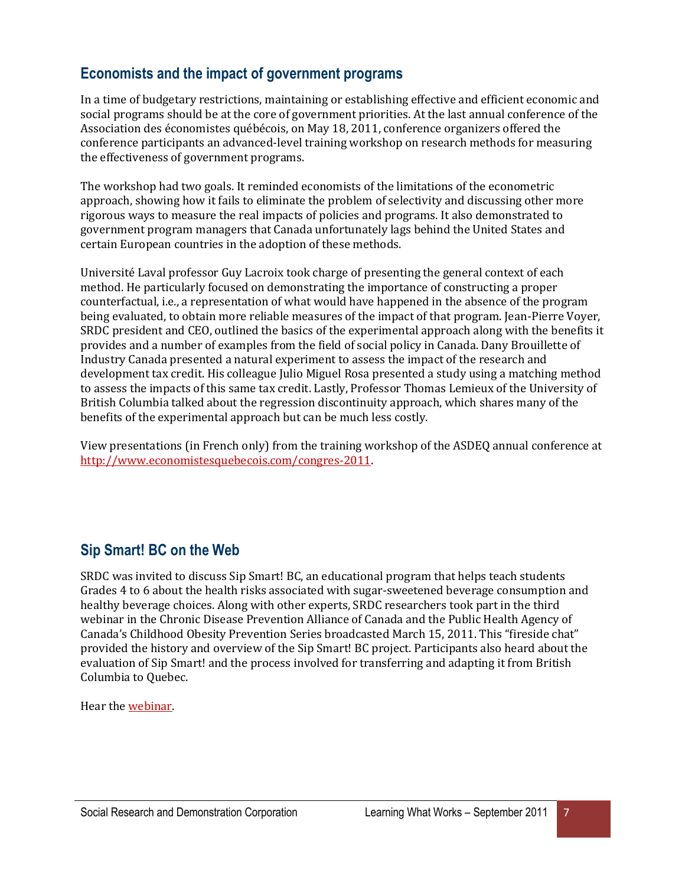## **Economists and the impact of government programs**

In a time of budgetary restrictions, maintaining or establishing effective and efficient economic and social programs should be at the core of government priorities. At the last annual conference of the Association des économistes québécois, on May 18, 2011, conference organizers offered the conference participants an advanced-level training workshop on research methods for measuring the effectiveness of government programs.

The workshop had two goals. It reminded economists of the limitations of the econometric approach, showing how it fails to eliminate the problem of selectivity and discussing other more rigorous ways to measure the real impacts of policies and programs. It also demonstrated to government program managers that Canada unfortunately lags behind the United States and certain European countries in the adoption of these methods.

Université Laval professor Guy Lacroix took charge of presenting the general context of each method. He particularly focused on demonstrating the importance of constructing a proper counterfactual, i.e., a representation of what would have happened in the absence of the program being evaluated, to obtain more reliable measures of the impact of that program. Jean-Pierre Voyer, SRDC president and CEO, outlined the basics of the experimental approach along with the benefits it provides and a number of examples from the field of social policy in Canada. Dany Brouillette of Industry Canada presented a natural experiment to assess the impact of the research and development tax credit. His colleague Julio Miguel Rosa presented a study using a matching method to assess the impacts of this same tax credit. Lastly, Professor Thomas Lemieux of the University of British Columbia talked about the regression discontinuity approach, which shares many of the benefits of the experimental approach but can be much less costly.

View presentations (in French only) from the training workshop of the ASDEQ annual conference at [http://www.economistesquebecois.com/congres-2011.](http://www.economistesquebecois.com/congres-2011)

#### **Sip Smart! BC on the Web**

SRDC was invited to discuss Sip Smart! BC, an educational program that helps teach students Grades 4 to 6 about the health risks associated with sugar-sweetened beverage consumption and healthy beverage choices. Along with other experts, SRDC researchers took part in the third webinar in the Chronic Disease Prevention Alliance of Canada and the Public Health Agency of Canada's Childhood Obesity Prevention Series broadcasted March 15, 2011. This "fireside chat" provided the history and overview of the Sip Smart! BC project. Participants also heard about the evaluation of Sip Smart! and the process involved for transferring and adapting it from British Columbia to Quebec.

Hear the [webinar.](http://phac.sigh.org/workshops/view/id/3)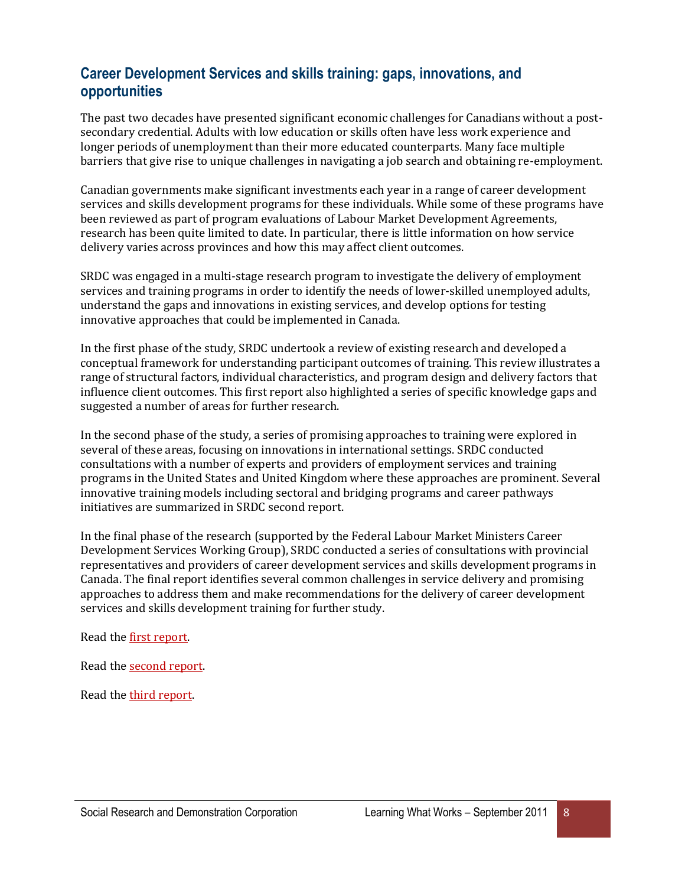#### **Career Development Services and skills training: gaps, innovations, and opportunities**

The past two decades have presented significant economic challenges for Canadians without a postsecondary credential. Adults with low education or skills often have less work experience and longer periods of unemployment than their more educated counterparts. Many face multiple barriers that give rise to unique challenges in navigating a job search and obtaining re-employment.

Canadian governments make significant investments each year in a range of career development services and skills development programs for these individuals. While some of these programs have been reviewed as part of program evaluations of Labour Market Development Agreements, research has been quite limited to date. In particular, there is little information on how service delivery varies across provinces and how this may affect client outcomes.

SRDC was engaged in a multi-stage research program to investigate the delivery of employment services and training programs in order to identify the needs of lower-skilled unemployed adults, understand the gaps and innovations in existing services, and develop options for testing innovative approaches that could be implemented in Canada.

In the first phase of the study, SRDC undertook a review of existing research and developed a conceptual framework for understanding participant outcomes of training. This review illustrates a range of structural factors, individual characteristics, and program design and delivery factors that influence client outcomes. This first report also highlighted a series of specific knowledge gaps and suggested a number of areas for further research.

In the second phase of the study, a series of promising approaches to training were explored in several of these areas, focusing on innovations in international settings. SRDC conducted consultations with a number of experts and providers of employment services and training programs in the United States and United Kingdom where these approaches are prominent. Several innovative training models including sectoral and bridging programs and career pathways initiatives are summarized in SRDC second report.

In the final phase of the research (supported by the Federal Labour Market Ministers Career Development Services Working Group), SRDC conducted a series of consultations with provincial representatives and providers of career development services and skills development programs in Canada. The final report identifies several common challenges in service delivery and promising approaches to address them and make recommendations for the delivery of career development services and skills development training for further study.

Read th[e first report.](http://www.srdc.org/uploads/laep1_en.pdf)

Read th[e second report.](http://www.srdc.org/uploads/laep2_en.pdf)

Read th[e third report.](http://www.srdc.org/uploads/cds_report_en.pdf)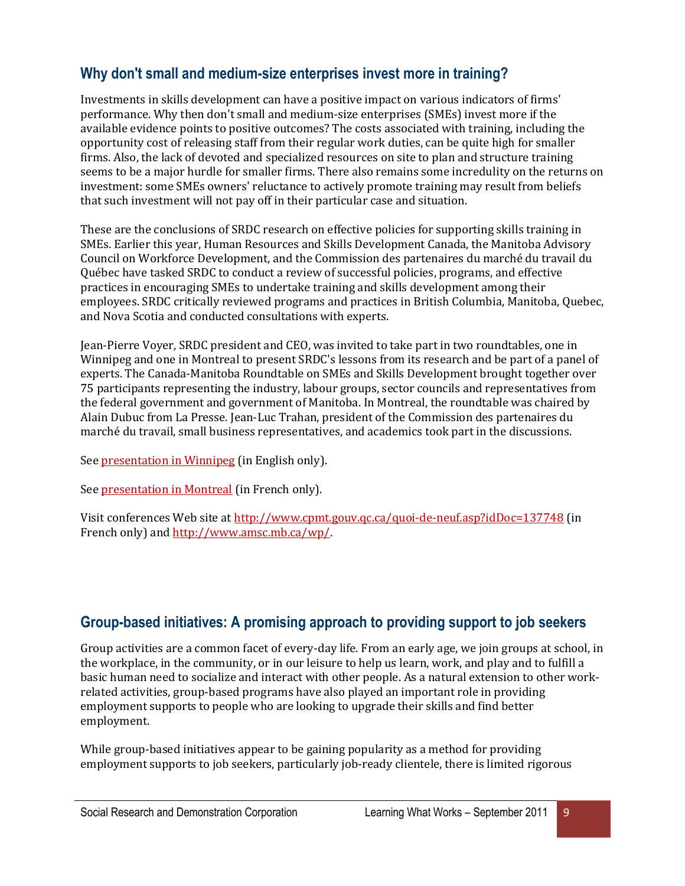#### **Why don't small and medium-size enterprises invest more in training?**

Investments in skills development can have a positive impact on various indicators of firms' performance. Why then don't small and medium-size enterprises (SMEs) invest more if the available evidence points to positive outcomes? The costs associated with training, including the opportunity cost of releasing staff from their regular work duties, can be quite high for smaller firms. Also, the lack of devoted and specialized resources on site to plan and structure training seems to be a major hurdle for smaller firms. There also remains some incredulity on the returns on investment: some SMEs owners' reluctance to actively promote training may result from beliefs that such investment will not pay off in their particular case and situation.

These are the conclusions of SRDC research on effective policies for supporting skills training in SMEs. Earlier this year, Human Resources and Skills Development Canada, the Manitoba Advisory Council on Workforce Development, and the Commission des partenaires du marché du travail du Québec have tasked SRDC to conduct a review of successful policies, programs, and effective practices in encouraging SMEs to undertake training and skills development among their employees. SRDC critically reviewed programs and practices in British Columbia, Manitoba, Quebec, and Nova Scotia and conducted consultations with experts.

Jean-Pierre Voyer, SRDC president and CEO, was invited to take part in two roundtables, one in Winnipeg and one in Montreal to present SRDC's lessons from its research and be part of a panel of experts. The Canada-Manitoba Roundtable on SMEs and Skills Development brought together over 75 participants representing the industry, labour groups, sector councils and representatives from the federal government and government of Manitoba. In Montreal, the roundtable was chaired by Alain Dubuc from La Presse. Jean-Luc Trahan, president of the Commission des partenaires du marché du travail, small business representatives, and academics took part in the discussions.

Se[e presentation in Winnipeg](http://www.srdc.org/uploads/sme_winnipeg_en.pdf) (in English only).

Se[e presentation in Montreal](http://www.srdc.org/uploads/sme_montreal_fr.pdf) (in French only).

Visit conferences Web site at<http://www.cpmt.gouv.qc.ca/quoi-de-neuf.asp?idDoc=137748> (in French only) an[d http://www.amsc.mb.ca/wp/.](http://www.amsc.mb.ca/wp/)

# **Group-based initiatives: A promising approach to providing support to job seekers**

Group activities are a common facet of every-day life. From an early age, we join groups at school, in the workplace, in the community, or in our leisure to help us learn, work, and play and to fulfill a basic human need to socialize and interact with other people. As a natural extension to other workrelated activities, group-based programs have also played an important role in providing employment supports to people who are looking to upgrade their skills and find better employment.

While group-based initiatives appear to be gaining popularity as a method for providing employment supports to job seekers, particularly job-ready clientele, there is limited rigorous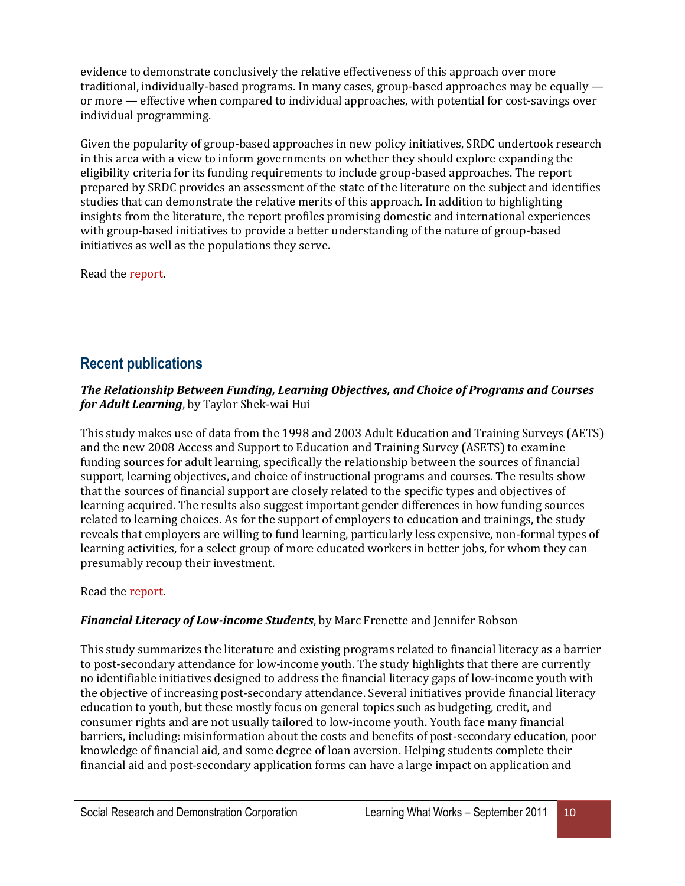evidence to demonstrate conclusively the relative effectiveness of this approach over more traditional, individually-based programs. In many cases, group-based approaches may be equally or more — effective when compared to individual approaches, with potential for cost-savings over individual programming.

Given the popularity of group-based approaches in new policy initiatives, SRDC undertook research in this area with a view to inform governments on whether they should explore expanding the eligibility criteria for its funding requirements to include group-based approaches. The report prepared by SRDC provides an assessment of the state of the literature on the subject and identifies studies that can demonstrate the relative merits of this approach. In addition to highlighting insights from the literature, the report profiles promising domestic and international experiences with group-based initiatives to provide a better understanding of the nature of group-based initiatives as well as the populations they serve.

Read th[e report.](http://www.srdc.org/uploads/group_based_en.pdf)

# **Recent publications**

#### *The Relationship Between Funding, Learning Objectives, and Choice of Programs and Courses for Adult Learning*, by Taylor Shek-wai Hui

This study makes use of data from the 1998 and 2003 Adult Education and Training Surveys (AETS) and the new 2008 Access and Support to Education and Training Survey (ASETS) to examine funding sources for adult learning, specifically the relationship between the sources of financial support, learning objectives, and choice of instructional programs and courses. The results show that the sources of financial support are closely related to the specific types and objectives of learning acquired. The results also suggest important gender differences in how funding sources related to learning choices. As for the support of employers to education and trainings, the study reveals that employers are willing to fund learning, particularly less expensive, non-formal types of learning activities, for a select group of more educated workers in better jobs, for whom they can presumably recoup their investment.

Read th[e report.](http://www.srdc.org/uploads/funding_sources_en.pdf)

#### *Financial Literacy of Low-income Students*, by Marc Frenette and Jennifer Robson

This study summarizes the literature and existing programs related to financial literacy as a barrier to post-secondary attendance for low-income youth. The study highlights that there are currently no identifiable initiatives designed to address the financial literacy gaps of low-income youth with the objective of increasing post-secondary attendance. Several initiatives provide financial literacy education to youth, but these mostly focus on general topics such as budgeting, credit, and consumer rights and are not usually tailored to low-income youth. Youth face many financial barriers, including: misinformation about the costs and benefits of post-secondary education, poor knowledge of financial aid, and some degree of loan aversion. Helping students complete their financial aid and post-secondary application forms can have a large impact on application and